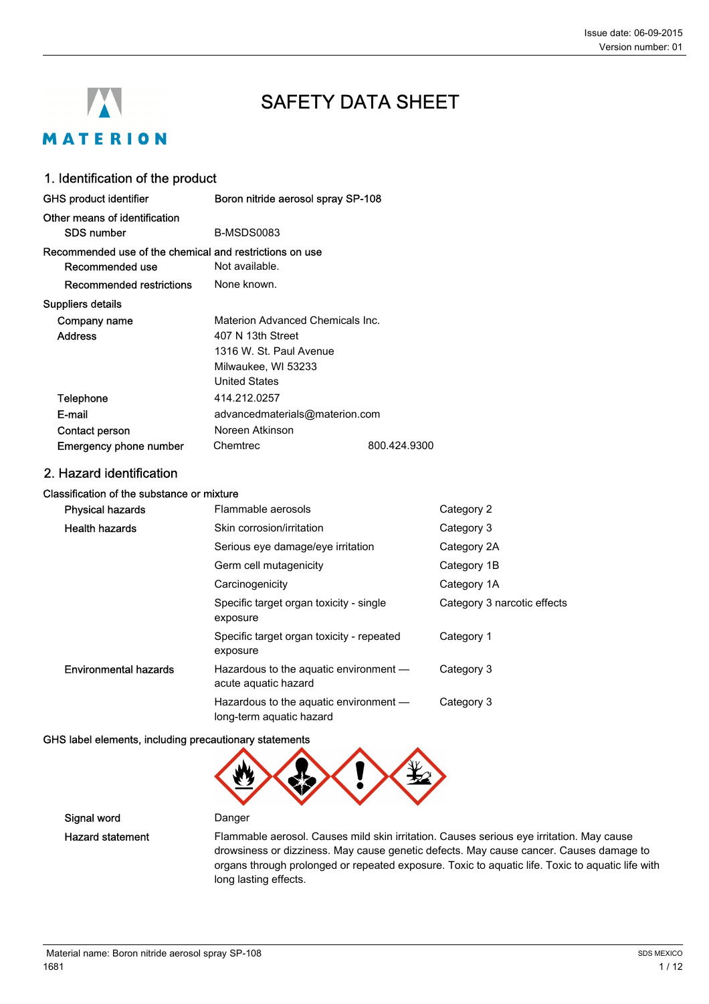# **A** MATERION

# SAFETY DATA SHEET

# 1. Identification of the product

| <b>GHS product identifier</b>                           | Boron nitride aerosol spray SP-108 |              |
|---------------------------------------------------------|------------------------------------|--------------|
| Other means of identification<br>SDS number             | B-MSDS0083                         |              |
| Recommended use of the chemical and restrictions on use |                                    |              |
| Recommended use                                         | Not available.                     |              |
| Recommended restrictions                                | None known.                        |              |
| Suppliers details                                       |                                    |              |
| Company name                                            | Materion Advanced Chemicals Inc.   |              |
| <b>Address</b>                                          | 407 N 13th Street                  |              |
|                                                         | 1316 W. St. Paul Avenue            |              |
|                                                         | Milwaukee, WI 53233                |              |
|                                                         | <b>United States</b>               |              |
| Telephone                                               | 414.212.0257                       |              |
| E-mail                                                  | advancedmaterials@materion.com     |              |
| Contact person                                          | Noreen Atkinson                    |              |
| Emergency phone number                                  | Chemtrec                           | 800.424.9300 |

### 2. Hazard identification

#### Classification of the substance or mixture

| <b>Physical hazards</b>      | Flammable aerosols                                                 | Category 2                  |
|------------------------------|--------------------------------------------------------------------|-----------------------------|
| <b>Health hazards</b>        | Skin corrosion/irritation                                          | Category 3                  |
|                              | Serious eye damage/eye irritation                                  | Category 2A                 |
|                              | Germ cell mutagenicity                                             | Category 1B                 |
|                              | Carcinogenicity                                                    | Category 1A                 |
|                              | Specific target organ toxicity - single<br>exposure                | Category 3 narcotic effects |
|                              | Specific target organ toxicity - repeated<br>exposure              | Category 1                  |
| <b>Environmental hazards</b> | Hazardous to the aquatic environment -<br>acute aquatic hazard     | Category 3                  |
|                              | Hazardous to the aquatic environment -<br>long-term aquatic hazard | Category 3                  |

#### GHS label elements, including precautionary statements



Signal word Danger

Hazard statement Flammable aerosol. Causes mild skin irritation. Causes serious eye irritation. May cause drowsiness or dizziness. May cause genetic defects. May cause cancer. Causes damage to organs through prolonged or repeated exposure. Toxic to aquatic life. Toxic to aquatic life with long lasting effects.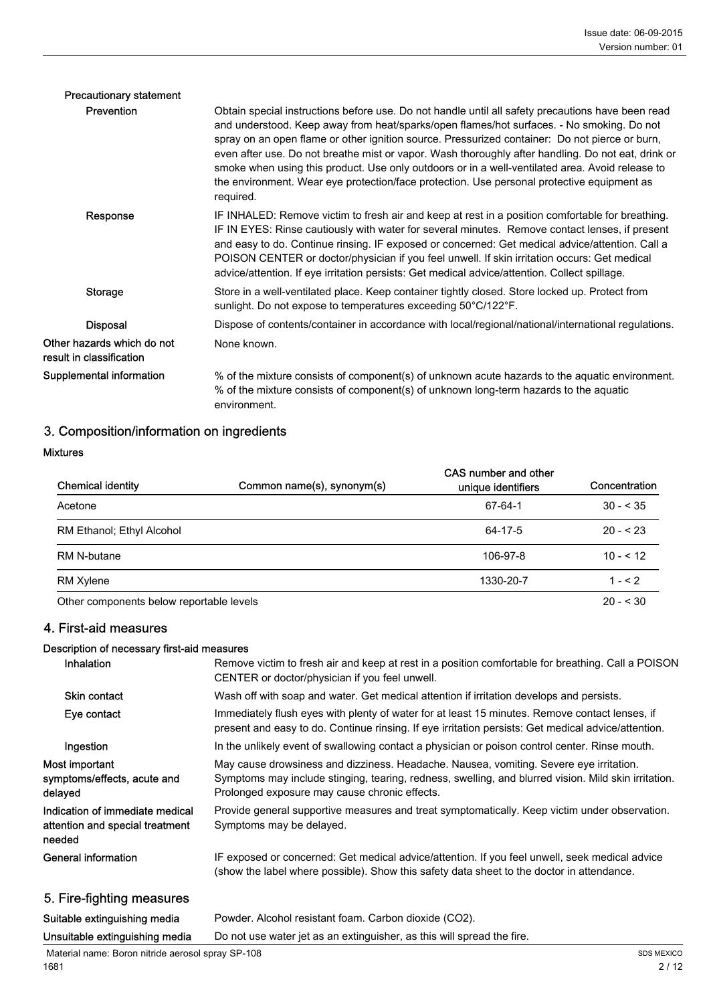| <b>Precautionary statement</b>                         |                                                                                                                                                                                                                                                                                                                                                                                                                                                                                                                                                                                                                      |
|--------------------------------------------------------|----------------------------------------------------------------------------------------------------------------------------------------------------------------------------------------------------------------------------------------------------------------------------------------------------------------------------------------------------------------------------------------------------------------------------------------------------------------------------------------------------------------------------------------------------------------------------------------------------------------------|
| <b>Prevention</b>                                      | Obtain special instructions before use. Do not handle until all safety precautions have been read<br>and understood. Keep away from heat/sparks/open flames/hot surfaces. - No smoking. Do not<br>spray on an open flame or other ignition source. Pressurized container: Do not pierce or burn,<br>even after use. Do not breathe mist or vapor. Wash thoroughly after handling. Do not eat, drink or<br>smoke when using this product. Use only outdoors or in a well-ventilated area. Avoid release to<br>the environment. Wear eye protection/face protection. Use personal protective equipment as<br>required. |
| Response                                               | IF INHALED: Remove victim to fresh air and keep at rest in a position comfortable for breathing.<br>IF IN EYES: Rinse cautiously with water for several minutes. Remove contact lenses, if present<br>and easy to do. Continue rinsing. IF exposed or concerned: Get medical advice/attention. Call a<br>POISON CENTER or doctor/physician if you feel unwell. If skin irritation occurs: Get medical<br>advice/attention. If eye irritation persists: Get medical advice/attention. Collect spillage.                                                                                                               |
| Storage                                                | Store in a well-ventilated place. Keep container tightly closed. Store locked up. Protect from<br>sunlight. Do not expose to temperatures exceeding 50°C/122°F.                                                                                                                                                                                                                                                                                                                                                                                                                                                      |
| <b>Disposal</b>                                        | Dispose of contents/container in accordance with local/regional/national/international regulations.                                                                                                                                                                                                                                                                                                                                                                                                                                                                                                                  |
| Other hazards which do not<br>result in classification | None known.                                                                                                                                                                                                                                                                                                                                                                                                                                                                                                                                                                                                          |
| Supplemental information                               | % of the mixture consists of component(s) of unknown acute hazards to the aquatic environment.<br>% of the mixture consists of component(s) of unknown long-term hazards to the aquatic<br>environment.                                                                                                                                                                                                                                                                                                                                                                                                              |

# 3. Composition/information on ingredients

Mixtures

| <b>Chemical identity</b>                 | Common name(s), synonym(s) | CAS number and other<br>unique identifiers | Concentration |
|------------------------------------------|----------------------------|--------------------------------------------|---------------|
| Acetone                                  |                            | 67-64-1                                    | $30 - 535$    |
| RM Ethanol; Ethyl Alcohol                |                            | 64-17-5                                    | $20 - 523$    |
| RM N-butane                              |                            | 106-97-8                                   | $10 - 512$    |
| <b>RM Xylene</b>                         |                            | 1330-20-7                                  | $1 - 52$      |
| Other components below reportable levels |                            |                                            | $20 - 530$    |

### 4. First-aid measures

#### Description of necessary first-aid measures

| Inhalation                                                                   | Remove victim to fresh air and keep at rest in a position comfortable for breathing. Call a POISON<br>CENTER or doctor/physician if you feel unwell.                                                                                            |
|------------------------------------------------------------------------------|-------------------------------------------------------------------------------------------------------------------------------------------------------------------------------------------------------------------------------------------------|
| Skin contact                                                                 | Wash off with soap and water. Get medical attention if irritation develops and persists.                                                                                                                                                        |
| Eye contact                                                                  | Immediately flush eyes with plenty of water for at least 15 minutes. Remove contact lenses, if<br>present and easy to do. Continue rinsing. If eye irritation persists: Get medical advice/attention.                                           |
| Ingestion                                                                    | In the unlikely event of swallowing contact a physician or poison control center. Rinse mouth.                                                                                                                                                  |
| Most important<br>symptoms/effects, acute and<br>delayed                     | May cause drowsiness and dizziness. Headache. Nausea, vomiting. Severe eye irritation.<br>Symptoms may include stinging, tearing, redness, swelling, and blurred vision. Mild skin irritation.<br>Prolonged exposure may cause chronic effects. |
| Indication of immediate medical<br>attention and special treatment<br>needed | Provide general supportive measures and treat symptomatically. Keep victim under observation.<br>Symptoms may be delayed.                                                                                                                       |
| General information                                                          | IF exposed or concerned: Get medical advice/attention. If you feel unwell, seek medical advice<br>(show the label where possible). Show this safety data sheet to the doctor in attendance.                                                     |
|                                                                              |                                                                                                                                                                                                                                                 |

## 5. Fire-fighting measures

Suitable extinguishing media Powder. Alcohol resistant foam. Carbon dioxide (CO2).

Unsuitable extinguishing media Do not use water jet as an extinguisher, as this will spread the fire.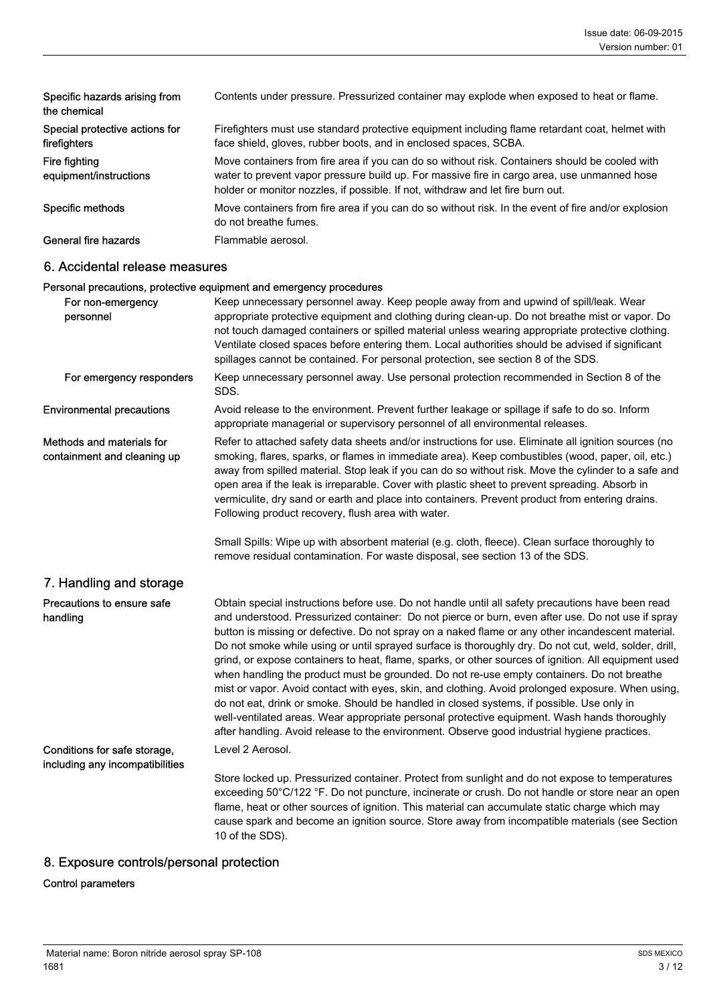| Specific hazards arising from<br>the chemical  | Contents under pressure. Pressurized container may explode when exposed to heat or flame.                                                                                                                                                                                        |
|------------------------------------------------|----------------------------------------------------------------------------------------------------------------------------------------------------------------------------------------------------------------------------------------------------------------------------------|
| Special protective actions for<br>firefighters | Firefighters must use standard protective equipment including flame retardant coat, helmet with<br>face shield, gloves, rubber boots, and in enclosed spaces, SCBA.                                                                                                              |
| Fire fighting<br>equipment/instructions        | Move containers from fire area if you can do so without risk. Containers should be cooled with<br>water to prevent vapor pressure build up. For massive fire in cargo area, use unmanned hose<br>holder or monitor nozzles, if possible. If not, withdraw and let fire burn out. |
| Specific methods                               | Move containers from fire area if you can do so without risk. In the event of fire and/or explosion<br>do not breathe fumes.                                                                                                                                                     |
| General fire hazards                           | Flammable aerosol.                                                                                                                                                                                                                                                               |

#### 6. Accidental release measures

#### Personal precautions, protective equipment and emergency procedures

| For non-emergency<br>personnel                                  | Keep unnecessary personnel away. Keep people away from and upwind of spill/leak. Wear<br>appropriate protective equipment and clothing during clean-up. Do not breathe mist or vapor. Do<br>not touch damaged containers or spilled material unless wearing appropriate protective clothing.<br>Ventilate closed spaces before entering them. Local authorities should be advised if significant<br>spillages cannot be contained. For personal protection, see section 8 of the SDS.                                                                                                                                                                                                                                                                                                                                                                                                                                                                                                                                        |
|-----------------------------------------------------------------|------------------------------------------------------------------------------------------------------------------------------------------------------------------------------------------------------------------------------------------------------------------------------------------------------------------------------------------------------------------------------------------------------------------------------------------------------------------------------------------------------------------------------------------------------------------------------------------------------------------------------------------------------------------------------------------------------------------------------------------------------------------------------------------------------------------------------------------------------------------------------------------------------------------------------------------------------------------------------------------------------------------------------|
| For emergency responders                                        | Keep unnecessary personnel away. Use personal protection recommended in Section 8 of the<br>SDS.                                                                                                                                                                                                                                                                                                                                                                                                                                                                                                                                                                                                                                                                                                                                                                                                                                                                                                                             |
| <b>Environmental precautions</b>                                | Avoid release to the environment. Prevent further leakage or spillage if safe to do so. Inform<br>appropriate managerial or supervisory personnel of all environmental releases.                                                                                                                                                                                                                                                                                                                                                                                                                                                                                                                                                                                                                                                                                                                                                                                                                                             |
| Methods and materials for<br>containment and cleaning up        | Refer to attached safety data sheets and/or instructions for use. Eliminate all ignition sources (no<br>smoking, flares, sparks, or flames in immediate area). Keep combustibles (wood, paper, oil, etc.)<br>away from spilled material. Stop leak if you can do so without risk. Move the cylinder to a safe and<br>open area if the leak is irreparable. Cover with plastic sheet to prevent spreading. Absorb in<br>vermiculite, dry sand or earth and place into containers. Prevent product from entering drains.<br>Following product recovery, flush area with water.                                                                                                                                                                                                                                                                                                                                                                                                                                                 |
|                                                                 | Small Spills: Wipe up with absorbent material (e.g. cloth, fleece). Clean surface thoroughly to<br>remove residual contamination. For waste disposal, see section 13 of the SDS.                                                                                                                                                                                                                                                                                                                                                                                                                                                                                                                                                                                                                                                                                                                                                                                                                                             |
| 7. Handling and storage                                         |                                                                                                                                                                                                                                                                                                                                                                                                                                                                                                                                                                                                                                                                                                                                                                                                                                                                                                                                                                                                                              |
| Precautions to ensure safe<br>handling                          | Obtain special instructions before use. Do not handle until all safety precautions have been read<br>and understood. Pressurized container: Do not pierce or burn, even after use. Do not use if spray<br>button is missing or defective. Do not spray on a naked flame or any other incandescent material.<br>Do not smoke while using or until sprayed surface is thoroughly dry. Do not cut, weld, solder, drill,<br>grind, or expose containers to heat, flame, sparks, or other sources of ignition. All equipment used<br>when handling the product must be grounded. Do not re-use empty containers. Do not breathe<br>mist or vapor. Avoid contact with eyes, skin, and clothing. Avoid prolonged exposure. When using,<br>do not eat, drink or smoke. Should be handled in closed systems, if possible. Use only in<br>well-ventilated areas. Wear appropriate personal protective equipment. Wash hands thoroughly<br>after handling. Avoid release to the environment. Observe good industrial hygiene practices. |
| Conditions for safe storage,<br>including any incompatibilities | Level 2 Aerosol.                                                                                                                                                                                                                                                                                                                                                                                                                                                                                                                                                                                                                                                                                                                                                                                                                                                                                                                                                                                                             |
|                                                                 | Store locked up. Pressurized container. Protect from sunlight and do not expose to temperatures<br>exceeding 50°C/122 °F. Do not puncture, incinerate or crush. Do not handle or store near an open<br>flame, heat or other sources of ignition. This material can accumulate static charge which may<br>cause spark and become an ignition source. Store away from incompatible materials (see Section<br>10 of the SDS).                                                                                                                                                                                                                                                                                                                                                                                                                                                                                                                                                                                                   |

# 8. Exposure controls/personal protection

#### Control parameters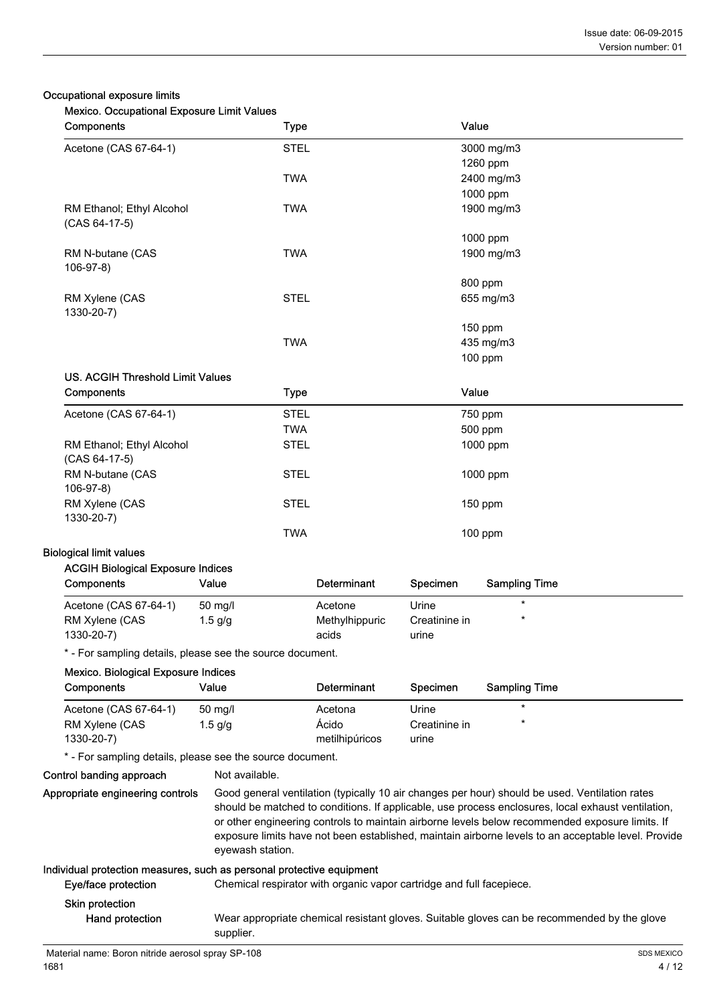#### Occupational exposure limits

| Mexico. Occupational Exposure Limit Values |  |  |  |  |
|--------------------------------------------|--|--|--|--|
|--------------------------------------------|--|--|--|--|

| <b>Mexico.</b> Occupational Exposure Limit values<br>Components                              |                  | <b>Type</b> |                                                                      |                        | Value                                                                                                                                                                                                                                                                                                                                                                                                          |
|----------------------------------------------------------------------------------------------|------------------|-------------|----------------------------------------------------------------------|------------------------|----------------------------------------------------------------------------------------------------------------------------------------------------------------------------------------------------------------------------------------------------------------------------------------------------------------------------------------------------------------------------------------------------------------|
| Acetone (CAS 67-64-1)                                                                        |                  | <b>STEL</b> |                                                                      |                        | 3000 mg/m3                                                                                                                                                                                                                                                                                                                                                                                                     |
|                                                                                              |                  |             |                                                                      |                        | 1260 ppm                                                                                                                                                                                                                                                                                                                                                                                                       |
|                                                                                              |                  | <b>TWA</b>  |                                                                      |                        | 2400 mg/m3                                                                                                                                                                                                                                                                                                                                                                                                     |
|                                                                                              |                  |             |                                                                      |                        | 1000 ppm                                                                                                                                                                                                                                                                                                                                                                                                       |
| RM Ethanol; Ethyl Alcohol<br>(CAS 64-17-5)                                                   |                  | <b>TWA</b>  |                                                                      |                        | 1900 mg/m3                                                                                                                                                                                                                                                                                                                                                                                                     |
|                                                                                              |                  |             |                                                                      |                        | 1000 ppm                                                                                                                                                                                                                                                                                                                                                                                                       |
| RM N-butane (CAS<br>$106-97-8$                                                               |                  | <b>TWA</b>  |                                                                      |                        | 1900 mg/m3                                                                                                                                                                                                                                                                                                                                                                                                     |
|                                                                                              |                  |             |                                                                      |                        | 800 ppm                                                                                                                                                                                                                                                                                                                                                                                                        |
| RM Xylene (CAS<br>1330-20-7)                                                                 |                  | <b>STEL</b> |                                                                      |                        | 655 mg/m3                                                                                                                                                                                                                                                                                                                                                                                                      |
|                                                                                              |                  |             |                                                                      |                        | 150 ppm                                                                                                                                                                                                                                                                                                                                                                                                        |
|                                                                                              |                  | <b>TWA</b>  |                                                                      |                        | 435 mg/m3                                                                                                                                                                                                                                                                                                                                                                                                      |
|                                                                                              |                  |             |                                                                      |                        | 100 ppm                                                                                                                                                                                                                                                                                                                                                                                                        |
| <b>US. ACGIH Threshold Limit Values</b><br>Components                                        |                  | <b>Type</b> |                                                                      |                        | Value                                                                                                                                                                                                                                                                                                                                                                                                          |
| Acetone (CAS 67-64-1)                                                                        |                  | <b>STEL</b> |                                                                      |                        | 750 ppm                                                                                                                                                                                                                                                                                                                                                                                                        |
|                                                                                              |                  | <b>TWA</b>  |                                                                      |                        | 500 ppm                                                                                                                                                                                                                                                                                                                                                                                                        |
| RM Ethanol; Ethyl Alcohol                                                                    |                  | <b>STEL</b> |                                                                      |                        | 1000 ppm                                                                                                                                                                                                                                                                                                                                                                                                       |
| (CAS 64-17-5)                                                                                |                  |             |                                                                      |                        |                                                                                                                                                                                                                                                                                                                                                                                                                |
| RM N-butane (CAS<br>$106-97-8$                                                               |                  | <b>STEL</b> |                                                                      |                        | 1000 ppm                                                                                                                                                                                                                                                                                                                                                                                                       |
| RM Xylene (CAS<br>1330-20-7)                                                                 |                  | <b>STEL</b> |                                                                      |                        | 150 ppm                                                                                                                                                                                                                                                                                                                                                                                                        |
|                                                                                              |                  | <b>TWA</b>  |                                                                      |                        | $100$ ppm                                                                                                                                                                                                                                                                                                                                                                                                      |
| <b>Biological limit values</b>                                                               |                  |             |                                                                      |                        |                                                                                                                                                                                                                                                                                                                                                                                                                |
| <b>ACGIH Biological Exposure Indices</b>                                                     |                  |             |                                                                      |                        |                                                                                                                                                                                                                                                                                                                                                                                                                |
| Components                                                                                   | Value            |             | Determinant                                                          | Specimen               | <b>Sampling Time</b>                                                                                                                                                                                                                                                                                                                                                                                           |
| Acetone (CAS 67-64-1)                                                                        | 50 mg/l          |             | Acetone                                                              | Urine                  | $\star$                                                                                                                                                                                                                                                                                                                                                                                                        |
| RM Xylene (CAS<br>1330-20-7)                                                                 | $1.5$ g/g        |             | Methylhippuric<br>acids                                              | Creatinine in<br>urine | $\star$                                                                                                                                                                                                                                                                                                                                                                                                        |
| * - For sampling details, please see the source document.                                    |                  |             |                                                                      |                        |                                                                                                                                                                                                                                                                                                                                                                                                                |
| Mexico. Biological Exposure Indices                                                          |                  |             |                                                                      |                        |                                                                                                                                                                                                                                                                                                                                                                                                                |
| Components                                                                                   | Value            |             | Determinant                                                          | Specimen               | <b>Sampling Time</b>                                                                                                                                                                                                                                                                                                                                                                                           |
| Acetone (CAS 67-64-1)                                                                        | 50 mg/l          |             | Acetona                                                              | Urine                  | $\ast$                                                                                                                                                                                                                                                                                                                                                                                                         |
| RM Xylene (CAS                                                                               | $1.5$ g/g        |             | Ácido                                                                | Creatinine in          |                                                                                                                                                                                                                                                                                                                                                                                                                |
| 1330-20-7)                                                                                   |                  |             | metilhipúricos                                                       | urine                  |                                                                                                                                                                                                                                                                                                                                                                                                                |
| * - For sampling details, please see the source document.                                    |                  |             |                                                                      |                        |                                                                                                                                                                                                                                                                                                                                                                                                                |
| Control banding approach                                                                     | Not available.   |             |                                                                      |                        |                                                                                                                                                                                                                                                                                                                                                                                                                |
| Appropriate engineering controls                                                             | eyewash station. |             |                                                                      |                        | Good general ventilation (typically 10 air changes per hour) should be used. Ventilation rates<br>should be matched to conditions. If applicable, use process enclosures, local exhaust ventilation,<br>or other engineering controls to maintain airborne levels below recommended exposure limits. If<br>exposure limits have not been established, maintain airborne levels to an acceptable level. Provide |
| Individual protection measures, such as personal protective equipment<br>Eye/face protection |                  |             | Chemical respirator with organic vapor cartridge and full facepiece. |                        |                                                                                                                                                                                                                                                                                                                                                                                                                |
| Skin protection                                                                              |                  |             |                                                                      |                        |                                                                                                                                                                                                                                                                                                                                                                                                                |
|                                                                                              |                  |             |                                                                      |                        |                                                                                                                                                                                                                                                                                                                                                                                                                |

Wear appropriate chemical resistant gloves. Suitable gloves can be recommended by the glove

Hand protection

supplier.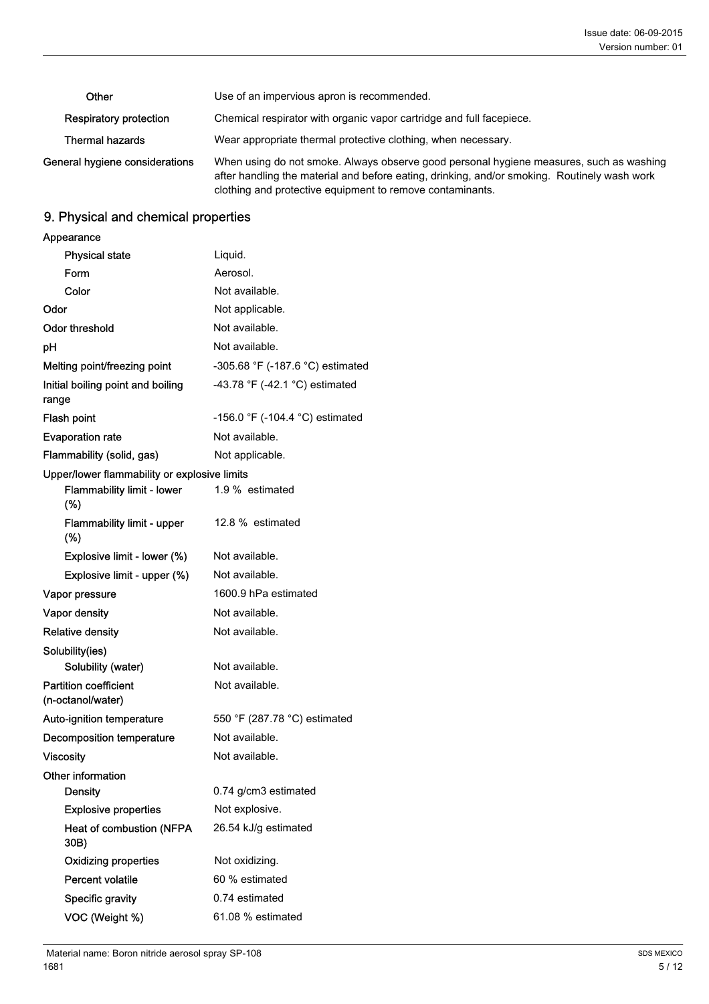| Other                          | Use of an impervious apron is recommended.                                                                                                                                                                                                           |  |
|--------------------------------|------------------------------------------------------------------------------------------------------------------------------------------------------------------------------------------------------------------------------------------------------|--|
| Respiratory protection         | Chemical respirator with organic vapor cartridge and full facepiece.                                                                                                                                                                                 |  |
| <b>Thermal hazards</b>         | Wear appropriate thermal protective clothing, when necessary.                                                                                                                                                                                        |  |
| General hygiene considerations | When using do not smoke. Always observe good personal hygiene measures, such as washing<br>after handling the material and before eating, drinking, and/or smoking. Routinely wash work<br>clothing and protective equipment to remove contaminants. |  |

# 9. Physical and chemical properties

| Appearance                                        |                                  |
|---------------------------------------------------|----------------------------------|
| <b>Physical state</b>                             | Liquid.                          |
| Form                                              | Aerosol.                         |
| Color                                             | Not available.                   |
| Odor                                              | Not applicable.                  |
| Odor threshold                                    | Not available.                   |
| рH                                                | Not available.                   |
| Melting point/freezing point                      | -305.68 °F (-187.6 °C) estimated |
| Initial boiling point and boiling<br>range        | -43.78 °F (-42.1 °C) estimated   |
| Flash point                                       | -156.0 °F (-104.4 °C) estimated  |
| <b>Evaporation rate</b>                           | Not available.                   |
| Flammability (solid, gas)                         | Not applicable.                  |
| Upper/lower flammability or explosive limits      |                                  |
| <b>Flammability limit - lower</b><br>$(\%)$       | 1.9 % estimated                  |
| <b>Flammability limit - upper</b><br>(%)          | 12.8 % estimated                 |
| Explosive limit - lower (%)                       | Not available.                   |
| Explosive limit - upper (%)                       | Not available.                   |
| Vapor pressure                                    | 1600.9 hPa estimated             |
| Vapor density                                     | Not available.                   |
| <b>Relative density</b>                           | Not available.                   |
| Solubility(ies)                                   |                                  |
| Solubility (water)                                | Not available.                   |
| <b>Partition coefficient</b><br>(n-octanol/water) | Not available.                   |
| Auto-ignition temperature                         | 550 °F (287.78 °C) estimated     |
| Decomposition temperature                         | Not available.                   |
| <b>Viscosity</b>                                  | Not available.                   |
| Other information                                 |                                  |
| <b>Density</b>                                    | 0.74 g/cm3 estimated             |
| <b>Explosive properties</b>                       | Not explosive.                   |
| <b>Heat of combustion (NFPA</b><br>30B)           | 26.54 kJ/g estimated             |
| <b>Oxidizing properties</b>                       | Not oxidizing.                   |
| Percent volatile                                  | 60 % estimated                   |
| Specific gravity                                  | 0.74 estimated                   |
| VOC (Weight %)                                    | 61.08 % estimated                |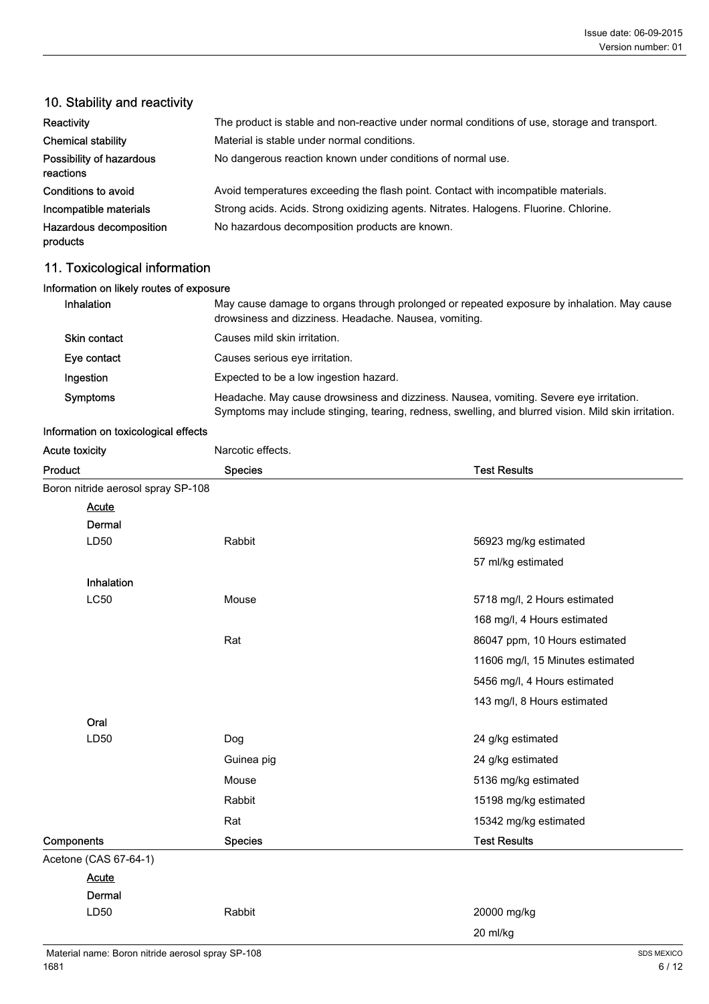| Reactivity                            | The product is stable and non-reactive under normal conditions of use, storage and transport. |
|---------------------------------------|-----------------------------------------------------------------------------------------------|
| <b>Chemical stability</b>             | Material is stable under normal conditions.                                                   |
| Possibility of hazardous<br>reactions | No dangerous reaction known under conditions of normal use.                                   |
| Conditions to avoid                   | Avoid temperatures exceeding the flash point. Contact with incompatible materials.            |
| Incompatible materials                | Strong acids. Acids. Strong oxidizing agents. Nitrates. Halogens. Fluorine. Chlorine.         |
| Hazardous decomposition<br>products   | No hazardous decomposition products are known.                                                |
|                                       |                                                                                               |

## 10. Stability and reactivity

# 11. Toxicological information

| Information on likely routes of exposure |                                                                                                                                                                                                |
|------------------------------------------|------------------------------------------------------------------------------------------------------------------------------------------------------------------------------------------------|
| <b>Inhalation</b>                        | May cause damage to organs through prolonged or repeated exposure by inhalation. May cause<br>drowsiness and dizziness. Headache. Nausea, vomiting.                                            |
| Skin contact                             | Causes mild skin irritation.                                                                                                                                                                   |
| Eye contact                              | Causes serious eye irritation.                                                                                                                                                                 |
| Ingestion                                | Expected to be a low ingestion hazard.                                                                                                                                                         |
| Symptoms                                 | Headache. May cause drowsiness and dizziness. Nausea, vomiting. Severe eye irritation.<br>Symptoms may include stinging, tearing, redness, swelling, and blurred vision. Mild skin irritation. |

#### Information on toxicological effects

| Acute toxicity                     | Narcotic effects. |                                  |
|------------------------------------|-------------------|----------------------------------|
| Product                            | <b>Species</b>    | <b>Test Results</b>              |
| Boron nitride aerosol spray SP-108 |                   |                                  |
| <b>Acute</b>                       |                   |                                  |
| Dermal                             |                   |                                  |
| LD50                               | Rabbit            | 56923 mg/kg estimated            |
|                                    |                   | 57 ml/kg estimated               |
| Inhalation                         |                   |                                  |
| <b>LC50</b>                        | Mouse             | 5718 mg/l, 2 Hours estimated     |
|                                    |                   | 168 mg/l, 4 Hours estimated      |
|                                    | Rat               | 86047 ppm, 10 Hours estimated    |
|                                    |                   | 11606 mg/l, 15 Minutes estimated |
|                                    |                   | 5456 mg/l, 4 Hours estimated     |
|                                    |                   | 143 mg/l, 8 Hours estimated      |
| Oral                               |                   |                                  |
| LD50                               | Dog               | 24 g/kg estimated                |
|                                    | Guinea pig        | 24 g/kg estimated                |
|                                    | Mouse             | 5136 mg/kg estimated             |
|                                    | Rabbit            | 15198 mg/kg estimated            |
|                                    | Rat               | 15342 mg/kg estimated            |
| Components                         | <b>Species</b>    | <b>Test Results</b>              |
| Acetone (CAS 67-64-1)              |                   |                                  |
| <b>Acute</b>                       |                   |                                  |
| Dermal                             |                   |                                  |
| LD50                               | Rabbit            | 20000 mg/kg                      |

20 ml/kg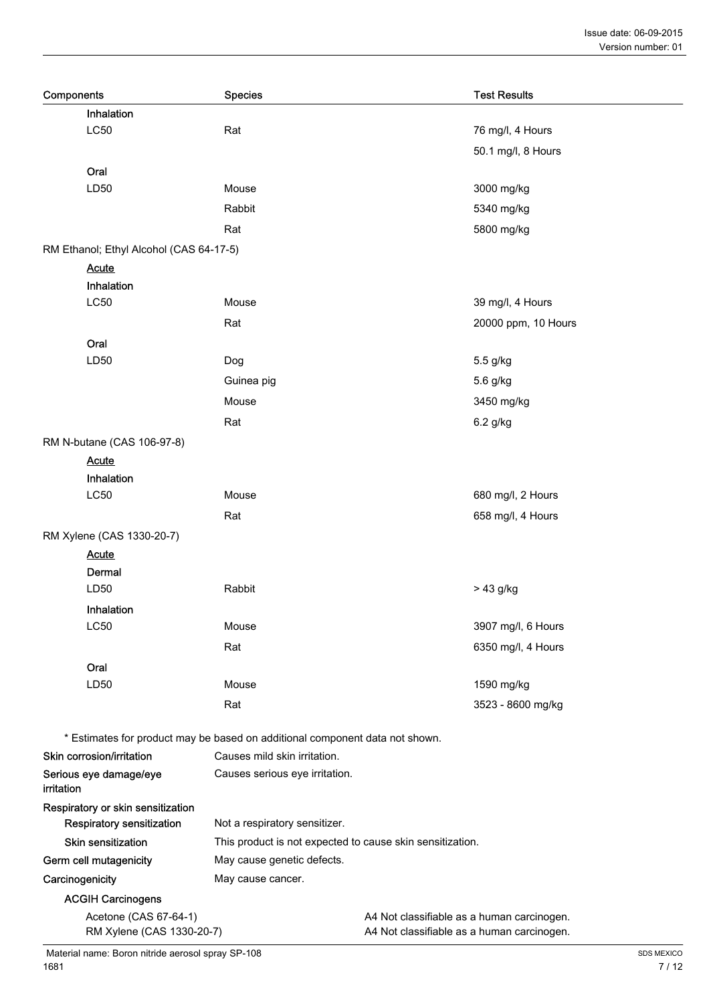| Components                                         | <b>Species</b>                                                               | <b>Test Results</b>                                                                      |
|----------------------------------------------------|------------------------------------------------------------------------------|------------------------------------------------------------------------------------------|
| Inhalation                                         |                                                                              |                                                                                          |
| <b>LC50</b>                                        | Rat                                                                          | 76 mg/l, 4 Hours                                                                         |
|                                                    |                                                                              | 50.1 mg/l, 8 Hours                                                                       |
| Oral                                               |                                                                              |                                                                                          |
| LD50                                               | Mouse                                                                        | 3000 mg/kg                                                                               |
|                                                    | Rabbit                                                                       | 5340 mg/kg                                                                               |
|                                                    | Rat                                                                          | 5800 mg/kg                                                                               |
| RM Ethanol; Ethyl Alcohol (CAS 64-17-5)            |                                                                              |                                                                                          |
| <b>Acute</b>                                       |                                                                              |                                                                                          |
| Inhalation                                         |                                                                              |                                                                                          |
| <b>LC50</b>                                        | Mouse                                                                        | 39 mg/l, 4 Hours                                                                         |
|                                                    | Rat                                                                          | 20000 ppm, 10 Hours                                                                      |
| Oral                                               |                                                                              |                                                                                          |
| LD50                                               | Dog                                                                          | 5.5 g/kg                                                                                 |
|                                                    | Guinea pig                                                                   | 5.6 g/kg                                                                                 |
|                                                    | Mouse                                                                        | 3450 mg/kg                                                                               |
|                                                    | Rat                                                                          | 6.2 g/kg                                                                                 |
| RM N-butane (CAS 106-97-8)                         |                                                                              |                                                                                          |
| <b>Acute</b>                                       |                                                                              |                                                                                          |
| Inhalation                                         |                                                                              |                                                                                          |
| <b>LC50</b>                                        | Mouse                                                                        | 680 mg/l, 2 Hours                                                                        |
|                                                    | Rat                                                                          | 658 mg/l, 4 Hours                                                                        |
| RM Xylene (CAS 1330-20-7)                          |                                                                              |                                                                                          |
| <b>Acute</b>                                       |                                                                              |                                                                                          |
| Dermal                                             |                                                                              |                                                                                          |
| LD50                                               | Rabbit                                                                       | > 43 g/kg                                                                                |
| Inhalation                                         |                                                                              |                                                                                          |
| <b>LC50</b>                                        | Mouse                                                                        | 3907 mg/l, 6 Hours                                                                       |
|                                                    | Rat                                                                          | 6350 mg/l, 4 Hours                                                                       |
| Oral                                               |                                                                              |                                                                                          |
| LD50                                               | Mouse                                                                        | 1590 mg/kg                                                                               |
|                                                    | Rat                                                                          | 3523 - 8600 mg/kg                                                                        |
|                                                    | * Estimates for product may be based on additional component data not shown. |                                                                                          |
| Skin corrosion/irritation                          | Causes mild skin irritation.                                                 |                                                                                          |
| Serious eye damage/eye                             | Causes serious eye irritation.                                               |                                                                                          |
| irritation                                         |                                                                              |                                                                                          |
| Respiratory or skin sensitization                  |                                                                              |                                                                                          |
| Respiratory sensitization                          | Not a respiratory sensitizer.                                                |                                                                                          |
| <b>Skin sensitization</b>                          | This product is not expected to cause skin sensitization.                    |                                                                                          |
| Germ cell mutagenicity                             | May cause genetic defects.                                                   |                                                                                          |
| Carcinogenicity                                    | May cause cancer.                                                            |                                                                                          |
| <b>ACGIH Carcinogens</b>                           |                                                                              |                                                                                          |
| Acetone (CAS 67-64-1)<br>RM Xylene (CAS 1330-20-7) |                                                                              | A4 Not classifiable as a human carcinogen.<br>A4 Not classifiable as a human carcinogen. |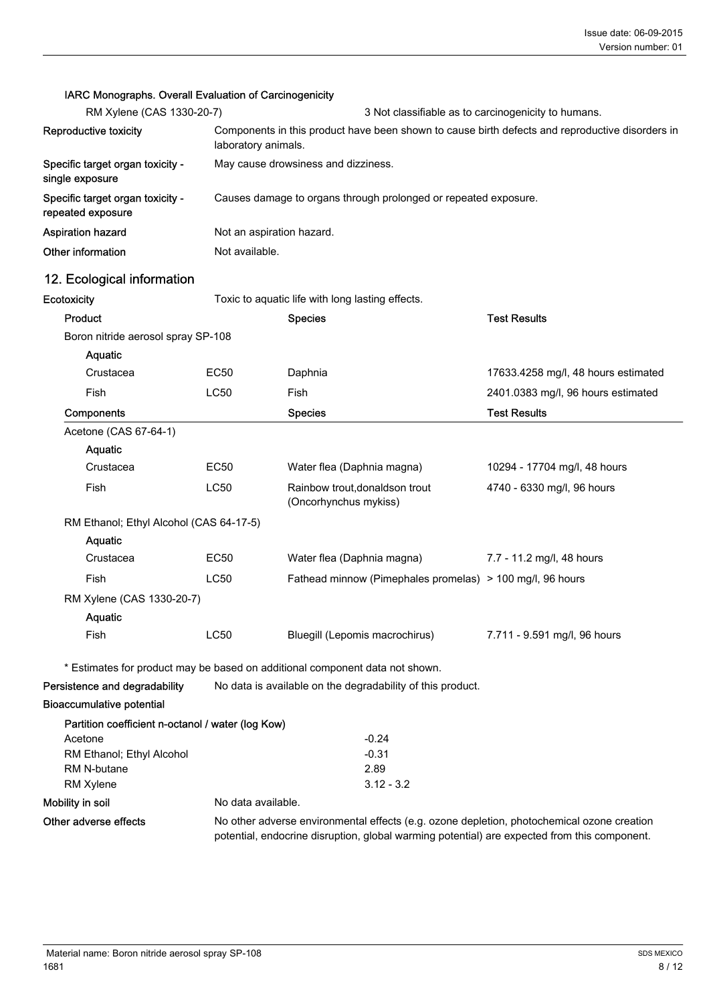#### IARC Monographs. Overall Evaluation of Carcinogenicity

| RM Xylene (CAS 1330-20-7)                             | 3 Not classifiable as to carcinogenicity to humans.                                                                    |
|-------------------------------------------------------|------------------------------------------------------------------------------------------------------------------------|
| Reproductive toxicity                                 | Components in this product have been shown to cause birth defects and reproductive disorders in<br>laboratory animals. |
| Specific target organ toxicity -<br>single exposure   | May cause drowsiness and dizziness.                                                                                    |
| Specific target organ toxicity -<br>repeated exposure | Causes damage to organs through prolonged or repeated exposure.                                                        |
| <b>Aspiration hazard</b>                              | Not an aspiration hazard.                                                                                              |
| Other information                                     | Not available.                                                                                                         |

# 12. Ecological information

Ecotoxicity **Ecotoxicity** Toxic to aquatic life with long lasting effects.

| Product                                 |             | <b>Species</b>                                            | <b>Test Results</b>                 |
|-----------------------------------------|-------------|-----------------------------------------------------------|-------------------------------------|
| Boron nitride aerosol spray SP-108      |             |                                                           |                                     |
| Aquatic                                 |             |                                                           |                                     |
| Crustacea                               | EC50        | Daphnia                                                   | 17633.4258 mg/l, 48 hours estimated |
| Fish                                    | LC50        | Fish                                                      | 2401.0383 mg/l, 96 hours estimated  |
| Components                              |             | <b>Species</b>                                            | <b>Test Results</b>                 |
| Acetone (CAS 67-64-1)                   |             |                                                           |                                     |
| <b>Aquatic</b>                          |             |                                                           |                                     |
| Crustacea                               | EC50        | Water flea (Daphnia magna)                                | 10294 - 17704 mg/l, 48 hours        |
| Fish                                    | LC50        | Rainbow trout, donaldson trout<br>(Oncorhynchus mykiss)   | 4740 - 6330 mg/l, 96 hours          |
| RM Ethanol; Ethyl Alcohol (CAS 64-17-5) |             |                                                           |                                     |
| Aquatic                                 |             |                                                           |                                     |
| Crustacea                               | EC50        | Water flea (Daphnia magna)                                | 7.7 - 11.2 mg/l, 48 hours           |
| Fish                                    | <b>LC50</b> | Fathead minnow (Pimephales promelas) > 100 mg/l, 96 hours |                                     |
| RM Xylene (CAS 1330-20-7)               |             |                                                           |                                     |
| Aquatic                                 |             |                                                           |                                     |
| Fish                                    | LC50        | Bluegill (Lepomis macrochirus)                            | 7.711 - 9.591 mg/l, 96 hours        |

\* Estimates for product may be based on additional component data not shown.

Persistence and degradability No data is available on the degradability of this product.

#### Bioaccumulative potential

| Partition coefficient n-octanol / water (log Kow) |                    |              |
|---------------------------------------------------|--------------------|--------------|
| Acetone                                           |                    | $-0.24$      |
| RM Ethanol; Ethyl Alcohol                         |                    | $-0.31$      |
| RM N-butane                                       |                    | 2.89         |
| <b>RM Xylene</b>                                  |                    | $3.12 - 3.2$ |
| Mobility in soil                                  | No data available. |              |

Other adverse effects No other adverse environmental effects (e.g. ozone depletion, photochemical ozone creation potential, endocrine disruption, global warming potential) are expected from this component.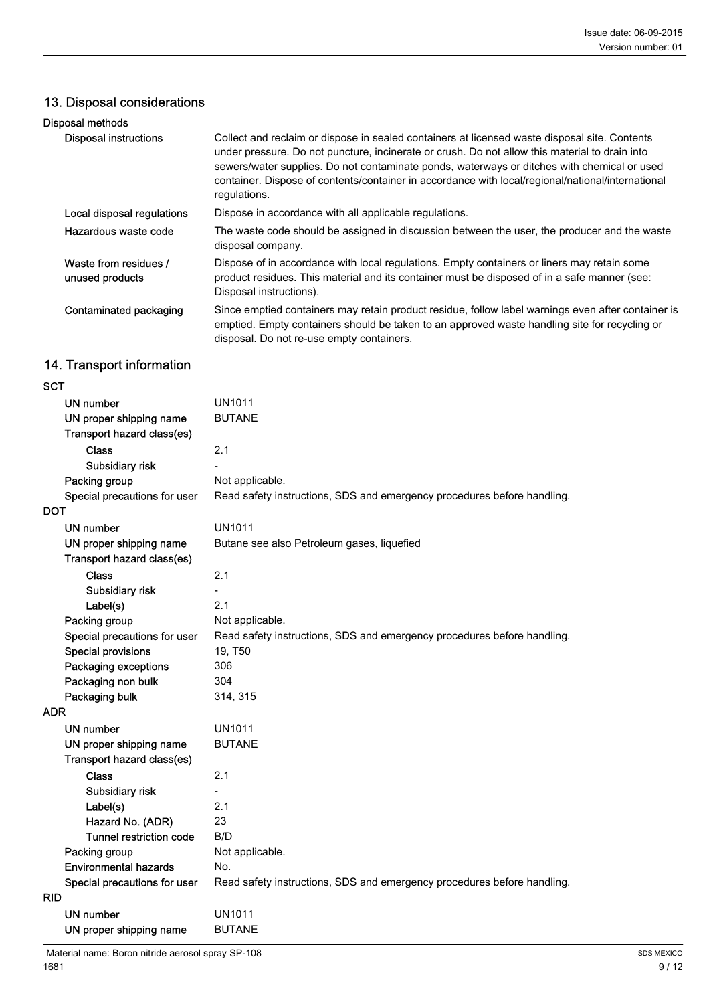# 13. Disposal considerations

| Disposal methods                         |                                                                                                                                                                                                                                                                                                                                                                                                                     |
|------------------------------------------|---------------------------------------------------------------------------------------------------------------------------------------------------------------------------------------------------------------------------------------------------------------------------------------------------------------------------------------------------------------------------------------------------------------------|
| <b>Disposal instructions</b>             | Collect and reclaim or dispose in sealed containers at licensed waste disposal site. Contents<br>under pressure. Do not puncture, incinerate or crush. Do not allow this material to drain into<br>sewers/water supplies. Do not contaminate ponds, waterways or ditches with chemical or used<br>container. Dispose of contents/container in accordance with local/regional/national/international<br>regulations. |
| Local disposal regulations               | Dispose in accordance with all applicable regulations.                                                                                                                                                                                                                                                                                                                                                              |
| Hazardous waste code                     | The waste code should be assigned in discussion between the user, the producer and the waste<br>disposal company.                                                                                                                                                                                                                                                                                                   |
| Waste from residues /<br>unused products | Dispose of in accordance with local regulations. Empty containers or liners may retain some<br>product residues. This material and its container must be disposed of in a safe manner (see:<br>Disposal instructions).                                                                                                                                                                                              |
| Contaminated packaging                   | Since emptied containers may retain product residue, follow label warnings even after container is<br>emptied. Empty containers should be taken to an approved waste handling site for recycling or<br>disposal. Do not re-use empty containers.                                                                                                                                                                    |
|                                          |                                                                                                                                                                                                                                                                                                                                                                                                                     |

# 14. Transport information

| <b>SCT</b> |                                |                                                                         |
|------------|--------------------------------|-------------------------------------------------------------------------|
|            | UN number                      | UN1011                                                                  |
|            | UN proper shipping name        | <b>BUTANE</b>                                                           |
|            | Transport hazard class(es)     |                                                                         |
|            | <b>Class</b>                   | 2.1                                                                     |
|            | Subsidiary risk                |                                                                         |
|            | Packing group                  | Not applicable.                                                         |
|            | Special precautions for user   | Read safety instructions, SDS and emergency procedures before handling. |
| DOT        |                                |                                                                         |
|            | UN number                      | <b>UN1011</b>                                                           |
|            | UN proper shipping name        | Butane see also Petroleum gases, liquefied                              |
|            | Transport hazard class(es)     |                                                                         |
|            | Class                          | 2.1                                                                     |
|            | Subsidiary risk                |                                                                         |
|            | Label(s)                       | 2.1                                                                     |
|            | Packing group                  | Not applicable.                                                         |
|            | Special precautions for user   | Read safety instructions, SDS and emergency procedures before handling. |
|            | <b>Special provisions</b>      | 19, T50                                                                 |
|            | Packaging exceptions           | 306                                                                     |
|            | Packaging non bulk             | 304                                                                     |
|            | Packaging bulk                 | 314, 315                                                                |
| <b>ADR</b> |                                |                                                                         |
|            | UN number                      | <b>UN1011</b>                                                           |
|            | UN proper shipping name        | <b>BUTANE</b>                                                           |
|            | Transport hazard class(es)     |                                                                         |
|            | <b>Class</b>                   | 2.1                                                                     |
|            | Subsidiary risk                |                                                                         |
|            | Label(s)                       | 2.1                                                                     |
|            | Hazard No. (ADR)               | 23                                                                      |
|            | <b>Tunnel restriction code</b> | B/D                                                                     |
|            | Packing group                  | Not applicable.                                                         |
|            | <b>Environmental hazards</b>   | No.                                                                     |
|            | Special precautions for user   | Read safety instructions, SDS and emergency procedures before handling. |
| <b>RID</b> |                                |                                                                         |
|            | <b>UN number</b>               | <b>UN1011</b>                                                           |
|            | UN proper shipping name        | <b>BUTANE</b>                                                           |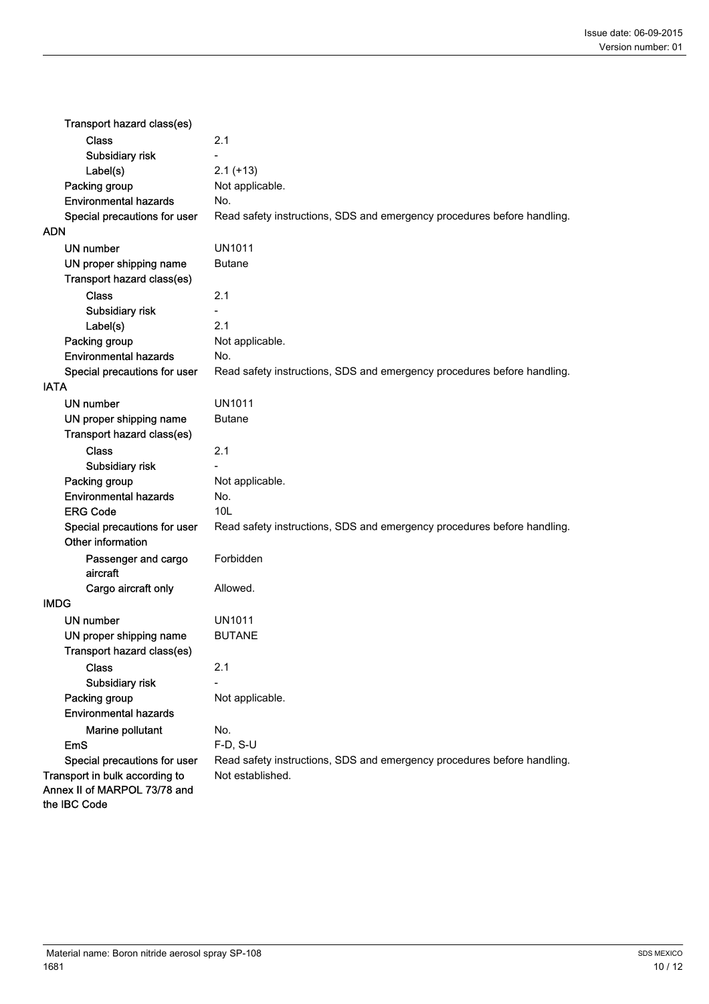| Transport hazard class(es)                   |                                                                         |
|----------------------------------------------|-------------------------------------------------------------------------|
| <b>Class</b>                                 | 2.1                                                                     |
| Subsidiary risk                              |                                                                         |
| Label(s)                                     | $2.1 (+13)$                                                             |
| Packing group                                | Not applicable.                                                         |
| <b>Environmental hazards</b>                 | No.                                                                     |
| Special precautions for user                 | Read safety instructions, SDS and emergency procedures before handling. |
| ADN                                          |                                                                         |
| <b>UN number</b>                             | <b>UN1011</b>                                                           |
| UN proper shipping name                      | <b>Butane</b>                                                           |
| Transport hazard class(es)                   |                                                                         |
| <b>Class</b>                                 | 2.1                                                                     |
| Subsidiary risk                              |                                                                         |
| Label(s)                                     | 2.1                                                                     |
| Packing group                                | Not applicable.                                                         |
| <b>Environmental hazards</b>                 | No.                                                                     |
| Special precautions for user                 | Read safety instructions, SDS and emergency procedures before handling. |
| <b>IATA</b>                                  |                                                                         |
| <b>UN number</b>                             | <b>UN1011</b>                                                           |
| UN proper shipping name                      | <b>Butane</b>                                                           |
| Transport hazard class(es)                   |                                                                         |
| <b>Class</b>                                 | 2.1                                                                     |
| Subsidiary risk                              |                                                                         |
| Packing group                                | Not applicable.                                                         |
| <b>Environmental hazards</b>                 | No.                                                                     |
| <b>ERG Code</b>                              | 10L                                                                     |
| Special precautions for user                 | Read safety instructions, SDS and emergency procedures before handling. |
| Other information                            |                                                                         |
| Passenger and cargo<br>aircraft              | Forbidden                                                               |
| Cargo aircraft only                          | Allowed.                                                                |
| <b>IMDG</b>                                  |                                                                         |
| UN number                                    | UN1011                                                                  |
| UN proper shipping name                      | <b>BUTANE</b>                                                           |
| Transport hazard class(es)                   |                                                                         |
| Class                                        | 2.1                                                                     |
| Subsidiary risk                              |                                                                         |
| Packing group                                | Not applicable.                                                         |
| <b>Environmental hazards</b>                 |                                                                         |
| Marine pollutant                             | No.                                                                     |
| <b>EmS</b>                                   | F-D, S-U                                                                |
| Special precautions for user                 | Read safety instructions, SDS and emergency procedures before handling. |
| Transport in bulk according to               | Not established.                                                        |
| Annex II of MARPOL 73/78 and<br>the IBC Code |                                                                         |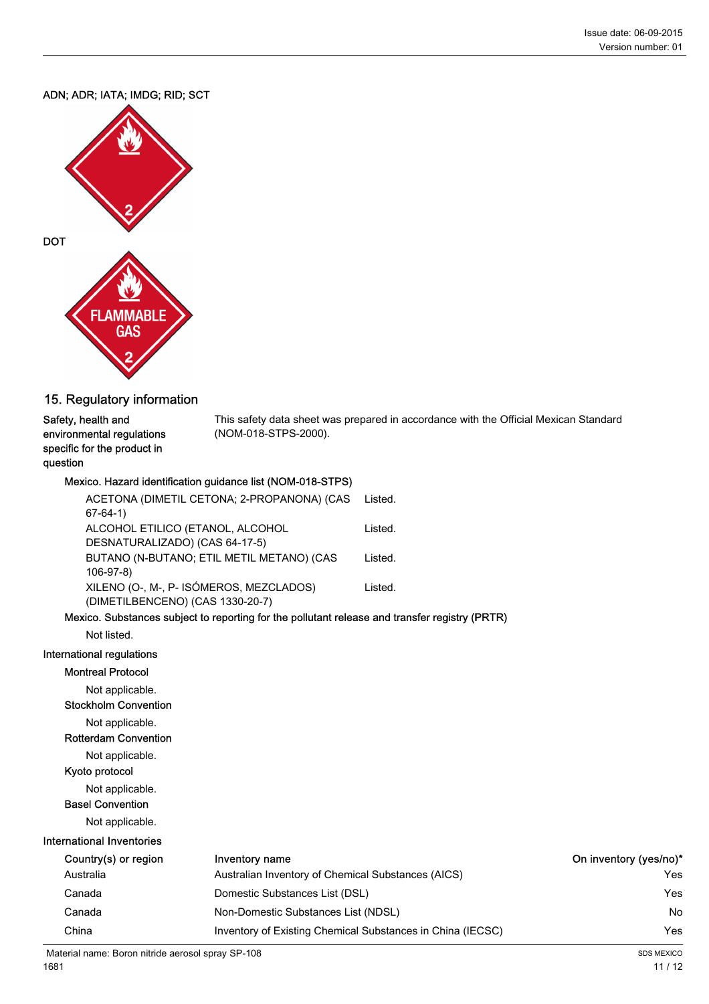#### ADN; ADR; IATA; IMDG; RID; SCT



#### 15. Regulatory information

#### This safety data sheet was prepared in accordance with the Official Mexican Standard (NOM-018-STPS-2000). Safety, health and environmental regulations specific for the product in question

#### Mexico. Hazard identification guidance list (NOM-018-STPS)

| ACETONA (DIMETIL CETONA; 2-PROPANONA) (CAS                                         | Listed. |
|------------------------------------------------------------------------------------|---------|
| $67-64-1)$                                                                         |         |
| ALCOHOL ETILICO (ETANOL, ALCOHOL                                                   | Listed. |
| DESNATURALIZADO) (CAS 64-17-5)                                                     |         |
| BUTANO (N-BUTANO; ETIL METIL METANO) (CAS                                          | Listed. |
| $106-97-8$                                                                         |         |
| XILENO (O-, M-, P- ISÓMEROS, MEZCLADOS)                                            | Listed. |
| (DIMETILBENCENO) (CAS 1330-20-7)                                                   |         |
| chan - Orchardana an archiped da managhina fan dhe malledand nalaasa a an dibunada |         |

#### Mexico. Substances subject to reporting for the pollutant release and transfer registry (PRTR)

Not listed.

#### International regulations

#### Montreal Protocol

Not applicable.

Stockholm Convention

Not applicable.

Rotterdam Convention

Not applicable.

# Kyoto protocol

Not applicable.

### Basel Convention

Not applicable.

| <b>International Inventories</b> |                                                            |                        |  |  |
|----------------------------------|------------------------------------------------------------|------------------------|--|--|
| Country(s) or region             | Inventory name                                             | On inventory (yes/no)* |  |  |
| Australia                        | Australian Inventory of Chemical Substances (AICS)         | Yes                    |  |  |
| Canada                           | Domestic Substances List (DSL)                             | Yes                    |  |  |
| Canada                           | Non-Domestic Substances List (NDSL)                        | No                     |  |  |
| China                            | Inventory of Existing Chemical Substances in China (IECSC) | Yes                    |  |  |